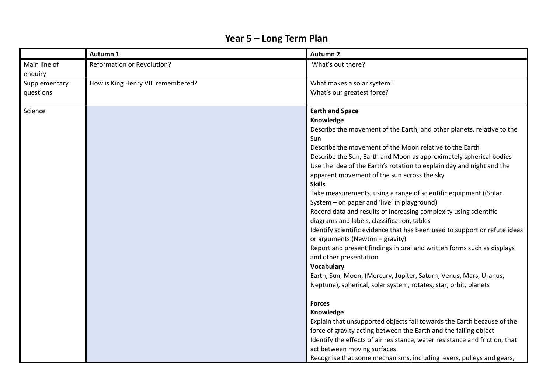## **Year 5 – Long Term Plan**

|                         | Autumn 1                           | <b>Autumn 2</b>                                                             |
|-------------------------|------------------------------------|-----------------------------------------------------------------------------|
| Main line of<br>enquiry | Reformation or Revolution?         | What's out there?                                                           |
| Supplementary           | How is King Henry VIII remembered? | What makes a solar system?                                                  |
| questions               |                                    | What's our greatest force?                                                  |
| Science                 |                                    | <b>Earth and Space</b>                                                      |
|                         |                                    | Knowledge                                                                   |
|                         |                                    | Describe the movement of the Earth, and other planets, relative to the      |
|                         |                                    | Sun                                                                         |
|                         |                                    | Describe the movement of the Moon relative to the Earth                     |
|                         |                                    | Describe the Sun, Earth and Moon as approximately spherical bodies          |
|                         |                                    | Use the idea of the Earth's rotation to explain day and night and the       |
|                         |                                    | apparent movement of the sun across the sky                                 |
|                         |                                    | <b>Skills</b>                                                               |
|                         |                                    | Take measurements, using a range of scientific equipment ((Solar            |
|                         |                                    | System - on paper and 'live' in playground)                                 |
|                         |                                    | Record data and results of increasing complexity using scientific           |
|                         |                                    | diagrams and labels, classification, tables                                 |
|                         |                                    | Identify scientific evidence that has been used to support or refute ideas  |
|                         |                                    | or arguments (Newton - gravity)                                             |
|                         |                                    | Report and present findings in oral and written forms such as displays      |
|                         |                                    | and other presentation                                                      |
|                         |                                    | <b>Vocabulary</b>                                                           |
|                         |                                    | Earth, Sun, Moon, (Mercury, Jupiter, Saturn, Venus, Mars, Uranus,           |
|                         |                                    | Neptune), spherical, solar system, rotates, star, orbit, planets            |
|                         |                                    | <b>Forces</b>                                                               |
|                         |                                    | Knowledge                                                                   |
|                         |                                    | Explain that unsupported objects fall towards the Earth because of the      |
|                         |                                    | force of gravity acting between the Earth and the falling object            |
|                         |                                    | Identify the effects of air resistance, water resistance and friction, that |
|                         |                                    | act between moving surfaces                                                 |
|                         |                                    | Recognise that some mechanisms, including levers, pulleys and gears,        |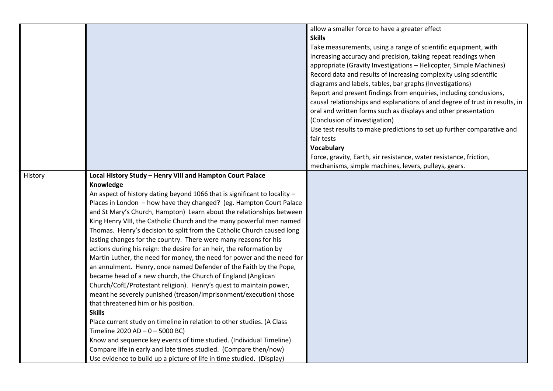|         |                                                                           | allow a smaller force to have a greater effect                              |
|---------|---------------------------------------------------------------------------|-----------------------------------------------------------------------------|
|         |                                                                           | <b>Skills</b>                                                               |
|         |                                                                           | Take measurements, using a range of scientific equipment, with              |
|         |                                                                           | increasing accuracy and precision, taking repeat readings when              |
|         |                                                                           | appropriate (Gravity Investigations - Helicopter, Simple Machines)          |
|         |                                                                           | Record data and results of increasing complexity using scientific           |
|         |                                                                           | diagrams and labels, tables, bar graphs (Investigations)                    |
|         |                                                                           | Report and present findings from enquiries, including conclusions,          |
|         |                                                                           | causal relationships and explanations of and degree of trust in results, in |
|         |                                                                           | oral and written forms such as displays and other presentation              |
|         |                                                                           | (Conclusion of investigation)                                               |
|         |                                                                           | Use test results to make predictions to set up further comparative and      |
|         |                                                                           | fair tests                                                                  |
|         |                                                                           | Vocabulary                                                                  |
|         |                                                                           | Force, gravity, Earth, air resistance, water resistance, friction,          |
|         |                                                                           | mechanisms, simple machines, levers, pulleys, gears.                        |
| History | Local History Study - Henry VIII and Hampton Court Palace                 |                                                                             |
|         | Knowledge                                                                 |                                                                             |
|         | An aspect of history dating beyond 1066 that is significant to locality - |                                                                             |
|         | Places in London - how have they changed? (eg. Hampton Court Palace       |                                                                             |
|         | and St Mary's Church, Hampton) Learn about the relationships between      |                                                                             |
|         | King Henry VIII, the Catholic Church and the many powerful men named      |                                                                             |
|         | Thomas. Henry's decision to split from the Catholic Church caused long    |                                                                             |
|         | lasting changes for the country. There were many reasons for his          |                                                                             |
|         | actions during his reign: the desire for an heir, the reformation by      |                                                                             |
|         | Martin Luther, the need for money, the need for power and the need for    |                                                                             |
|         | an annulment. Henry, once named Defender of the Faith by the Pope,        |                                                                             |
|         | became head of a new church, the Church of England (Anglican              |                                                                             |
|         | Church/CofE/Protestant religion). Henry's quest to maintain power,        |                                                                             |
|         | meant he severely punished (treason/imprisonment/execution) those         |                                                                             |
|         | that threatened him or his position.                                      |                                                                             |
|         | <b>Skills</b>                                                             |                                                                             |
|         | Place current study on timeline in relation to other studies. (A Class    |                                                                             |
|         | Timeline 2020 AD - 0 - 5000 BC)                                           |                                                                             |
|         | Know and sequence key events of time studied. (Individual Timeline)       |                                                                             |
|         | Compare life in early and late times studied. (Compare then/now)          |                                                                             |
|         | Use evidence to build up a picture of life in time studied. (Display)     |                                                                             |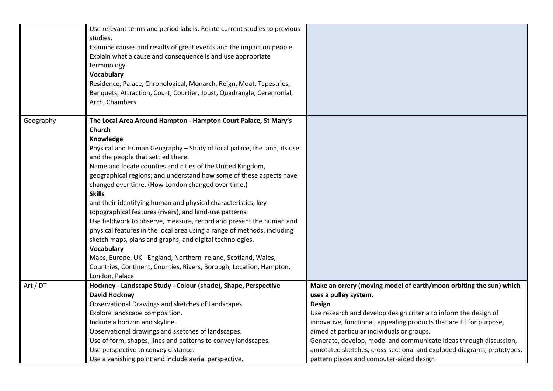|           | Use relevant terms and period labels. Relate current studies to previous |                                                                        |
|-----------|--------------------------------------------------------------------------|------------------------------------------------------------------------|
|           | studies.                                                                 |                                                                        |
|           | Examine causes and results of great events and the impact on people.     |                                                                        |
|           | Explain what a cause and consequence is and use appropriate              |                                                                        |
|           | terminology.                                                             |                                                                        |
|           | <b>Vocabulary</b>                                                        |                                                                        |
|           | Residence, Palace, Chronological, Monarch, Reign, Moat, Tapestries,      |                                                                        |
|           | Banquets, Attraction, Court, Courtier, Joust, Quadrangle, Ceremonial,    |                                                                        |
|           | Arch, Chambers                                                           |                                                                        |
| Geography | The Local Area Around Hampton - Hampton Court Palace, St Mary's          |                                                                        |
|           | Church                                                                   |                                                                        |
|           | Knowledge                                                                |                                                                        |
|           | Physical and Human Geography - Study of local palace, the land, its use  |                                                                        |
|           | and the people that settled there.                                       |                                                                        |
|           | Name and locate counties and cities of the United Kingdom,               |                                                                        |
|           | geographical regions; and understand how some of these aspects have      |                                                                        |
|           | changed over time. (How London changed over time.)                       |                                                                        |
|           | <b>Skills</b>                                                            |                                                                        |
|           | and their identifying human and physical characteristics, key            |                                                                        |
|           | topographical features (rivers), and land-use patterns                   |                                                                        |
|           | Use fieldwork to observe, measure, record and present the human and      |                                                                        |
|           | physical features in the local area using a range of methods, including  |                                                                        |
|           | sketch maps, plans and graphs, and digital technologies.                 |                                                                        |
|           | Vocabulary                                                               |                                                                        |
|           | Maps, Europe, UK - England, Northern Ireland, Scotland, Wales,           |                                                                        |
|           | Countries, Continent, Counties, Rivers, Borough, Location, Hampton,      |                                                                        |
|           | London, Palace                                                           |                                                                        |
| Art / DT  | Hockney - Landscape Study - Colour (shade), Shape, Perspective           | Make an orrery (moving model of earth/moon orbiting the sun) which     |
|           | <b>David Hockney</b>                                                     | uses a pulley system.                                                  |
|           | Observational Drawings and sketches of Landscapes                        | <b>Design</b>                                                          |
|           | Explore landscape composition.                                           | Use research and develop design criteria to inform the design of       |
|           | Include a horizon and skyline.                                           | innovative, functional, appealing products that are fit for purpose,   |
|           | Observational drawings and sketches of landscapes.                       | aimed at particular individuals or groups.                             |
|           | Use of form, shapes, lines and patterns to convey landscapes.            | Generate, develop, model and communicate ideas through discussion,     |
|           | Use perspective to convey distance.                                      | annotated sketches, cross-sectional and exploded diagrams, prototypes, |
|           | Use a vanishing point and include aerial perspective.                    | pattern pieces and computer-aided design                               |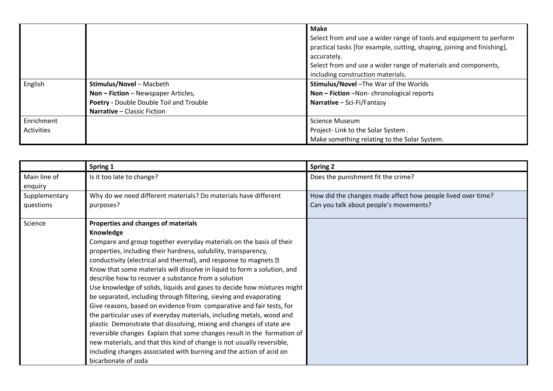|            |                                         | <b>Make</b>                                                             |
|------------|-----------------------------------------|-------------------------------------------------------------------------|
|            |                                         | Select from and use a wider range of tools and equipment to perform     |
|            |                                         | practical tasks [for example, cutting, shaping, joining and finishing], |
|            |                                         | accurately.                                                             |
|            |                                         | Select from and use a wider range of materials and components,          |
|            |                                         | including construction materials.                                       |
| English    | Stimulus/Novel - Macbeth                | Stimulus/Novel - The War of the Worlds                                  |
|            | Non - Fiction - Newspaper Articles,     | Non - Fiction - Non-chronological reports                               |
|            | Poetry - Double Double Toil and Trouble | Narrative $-$ Sci-Fi/Fantasy                                            |
|            | Narrative - Classic Fiction             |                                                                         |
| Enrichment |                                         | <b>Science Museum</b>                                                   |
| Activities |                                         | Project-Link to the Solar System.                                       |
|            |                                         | Make something relating to the Solar System.                            |

|               | Spring 1                                                                 | <b>Spring 2</b>                                             |
|---------------|--------------------------------------------------------------------------|-------------------------------------------------------------|
| Main line of  | Is it too late to change?                                                | Does the punishment fit the crime?                          |
| enquiry       |                                                                          |                                                             |
| Supplementary | Why do we need different materials? Do materials have different          | How did the changes made affect how people lived over time? |
| questions     | purposes?                                                                | Can you talk about people's movements?                      |
| Science       | Properties and changes of materials                                      |                                                             |
|               | Knowledge                                                                |                                                             |
|               | Compare and group together everyday materials on the basis of their      |                                                             |
|               | properties, including their hardness, solubility, transparency,          |                                                             |
|               | conductivity (electrical and thermal), and response to magnets 2         |                                                             |
|               | Know that some materials will dissolve in liquid to form a solution, and |                                                             |
|               | describe how to recover a substance from a solution                      |                                                             |
|               | Use knowledge of solids, liquids and gases to decide how mixtures might  |                                                             |
|               | be separated, including through filtering, sieving and evaporating       |                                                             |
|               | Give reasons, based on evidence from comparative and fair tests, for     |                                                             |
|               | the particular uses of everyday materials, including metals, wood and    |                                                             |
|               | plastic Demonstrate that dissolving, mixing and changes of state are     |                                                             |
|               | reversible changes Explain that some changes result in the formation of  |                                                             |
|               | new materials, and that this kind of change is not usually reversible,   |                                                             |
|               | including changes associated with burning and the action of acid on      |                                                             |
|               | bicarbonate of soda                                                      |                                                             |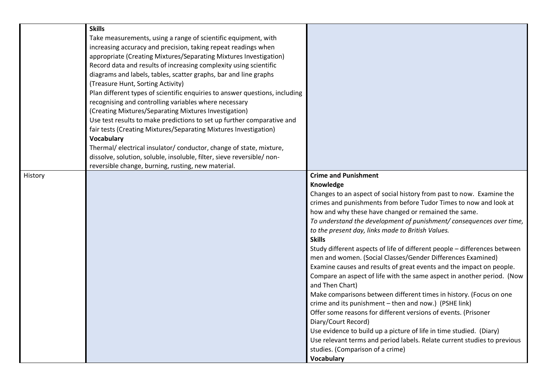|         | <b>Skills</b><br>Take measurements, using a range of scientific equipment, with<br>increasing accuracy and precision, taking repeat readings when<br>appropriate (Creating Mixtures/Separating Mixtures Investigation)<br>Record data and results of increasing complexity using scientific                                                                                                                                                          |                                                                                                                                                                                                                                                                                                                                                                                                                                                                                                                                                                                                                                                                                                                                                                                                                                                                                                                                                                                                                                                                                                                                                  |
|---------|------------------------------------------------------------------------------------------------------------------------------------------------------------------------------------------------------------------------------------------------------------------------------------------------------------------------------------------------------------------------------------------------------------------------------------------------------|--------------------------------------------------------------------------------------------------------------------------------------------------------------------------------------------------------------------------------------------------------------------------------------------------------------------------------------------------------------------------------------------------------------------------------------------------------------------------------------------------------------------------------------------------------------------------------------------------------------------------------------------------------------------------------------------------------------------------------------------------------------------------------------------------------------------------------------------------------------------------------------------------------------------------------------------------------------------------------------------------------------------------------------------------------------------------------------------------------------------------------------------------|
|         | diagrams and labels, tables, scatter graphs, bar and line graphs<br>(Treasure Hunt, Sorting Activity)<br>Plan different types of scientific enquiries to answer questions, including<br>recognising and controlling variables where necessary<br>(Creating Mixtures/Separating Mixtures Investigation)<br>Use test results to make predictions to set up further comparative and<br>fair tests (Creating Mixtures/Separating Mixtures Investigation) |                                                                                                                                                                                                                                                                                                                                                                                                                                                                                                                                                                                                                                                                                                                                                                                                                                                                                                                                                                                                                                                                                                                                                  |
|         | <b>Vocabulary</b><br>Thermal/ electrical insulator/ conductor, change of state, mixture,<br>dissolve, solution, soluble, insoluble, filter, sieve reversible/ non-<br>reversible change, burning, rusting, new material.                                                                                                                                                                                                                             |                                                                                                                                                                                                                                                                                                                                                                                                                                                                                                                                                                                                                                                                                                                                                                                                                                                                                                                                                                                                                                                                                                                                                  |
| History |                                                                                                                                                                                                                                                                                                                                                                                                                                                      | <b>Crime and Punishment</b><br>Knowledge<br>Changes to an aspect of social history from past to now. Examine the<br>crimes and punishments from before Tudor Times to now and look at<br>how and why these have changed or remained the same.<br>To understand the development of punishment/ consequences over time,<br>to the present day, links made to British Values.<br><b>Skills</b><br>Study different aspects of life of different people - differences between<br>men and women. (Social Classes/Gender Differences Examined)<br>Examine causes and results of great events and the impact on people.<br>Compare an aspect of life with the same aspect in another period. (Now<br>and Then Chart)<br>Make comparisons between different times in history. (Focus on one<br>crime and its punishment - then and now.) (PSHE link)<br>Offer some reasons for different versions of events. (Prisoner<br>Diary/Court Record)<br>Use evidence to build up a picture of life in time studied. (Diary)<br>Use relevant terms and period labels. Relate current studies to previous<br>studies. (Comparison of a crime)<br><b>Vocabulary</b> |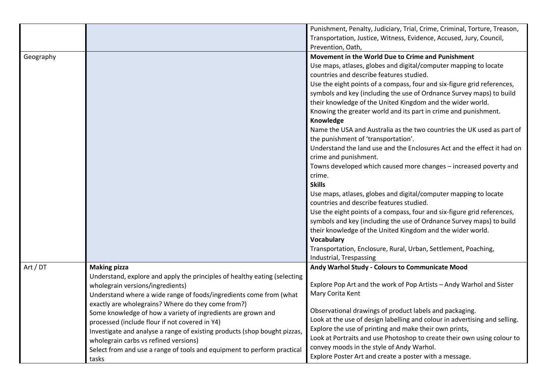|           |                                                                                                                                                                                                                                                                                                                                                                                                                                                      | Punishment, Penalty, Judiciary, Trial, Crime, Criminal, Torture, Treason,<br>Transportation, Justice, Witness, Evidence, Accused, Jury, Council,<br>Prevention, Oath,                                                                                                                                                                                                                                                                                                                                                                                                                                                                                                                                                                                                                                                                                                                                                                                                                                                                                                                                                                                                                                    |
|-----------|------------------------------------------------------------------------------------------------------------------------------------------------------------------------------------------------------------------------------------------------------------------------------------------------------------------------------------------------------------------------------------------------------------------------------------------------------|----------------------------------------------------------------------------------------------------------------------------------------------------------------------------------------------------------------------------------------------------------------------------------------------------------------------------------------------------------------------------------------------------------------------------------------------------------------------------------------------------------------------------------------------------------------------------------------------------------------------------------------------------------------------------------------------------------------------------------------------------------------------------------------------------------------------------------------------------------------------------------------------------------------------------------------------------------------------------------------------------------------------------------------------------------------------------------------------------------------------------------------------------------------------------------------------------------|
| Geography |                                                                                                                                                                                                                                                                                                                                                                                                                                                      | Movement in the World Due to Crime and Punishment<br>Use maps, atlases, globes and digital/computer mapping to locate<br>countries and describe features studied.<br>Use the eight points of a compass, four and six-figure grid references,<br>symbols and key (including the use of Ordnance Survey maps) to build<br>their knowledge of the United Kingdom and the wider world.<br>Knowing the greater world and its part in crime and punishment.<br>Knowledge<br>Name the USA and Australia as the two countries the UK used as part of<br>the punishment of 'transportation'.<br>Understand the land use and the Enclosures Act and the effect it had on<br>crime and punishment.<br>Towns developed which caused more changes - increased poverty and<br>crime.<br><b>Skills</b><br>Use maps, atlases, globes and digital/computer mapping to locate<br>countries and describe features studied.<br>Use the eight points of a compass, four and six-figure grid references,<br>symbols and key (including the use of Ordnance Survey maps) to build<br>their knowledge of the United Kingdom and the wider world.<br>Vocabulary<br>Transportation, Enclosure, Rural, Urban, Settlement, Poaching, |
| Art / DT  | <b>Making pizza</b><br>Understand, explore and apply the principles of healthy eating (selecting<br>wholegrain versions/ingredients)                                                                                                                                                                                                                                                                                                                 | Industrial, Trespassing<br>Andy Warhol Study - Colours to Communicate Mood<br>Explore Pop Art and the work of Pop Artists - Andy Warhol and Sister                                                                                                                                                                                                                                                                                                                                                                                                                                                                                                                                                                                                                                                                                                                                                                                                                                                                                                                                                                                                                                                       |
|           | Understand where a wide range of foods/ingredients come from (what<br>exactly are wholegrains? Where do they come from?)<br>Some knowledge of how a variety of ingredients are grown and<br>processed (include flour if not covered in Y4)<br>Investigate and analyse a range of existing products (shop bought pizzas,<br>wholegrain carbs vs refined versions)<br>Select from and use a range of tools and equipment to perform practical<br>tasks | Mary Corita Kent<br>Observational drawings of product labels and packaging.<br>Look at the use of design labelling and colour in advertising and selling.<br>Explore the use of printing and make their own prints,<br>Look at Portraits and use Photoshop to create their own using colour to<br>convey moods in the style of Andy Warhol.<br>Explore Poster Art and create a poster with a message.                                                                                                                                                                                                                                                                                                                                                                                                                                                                                                                                                                                                                                                                                                                                                                                                    |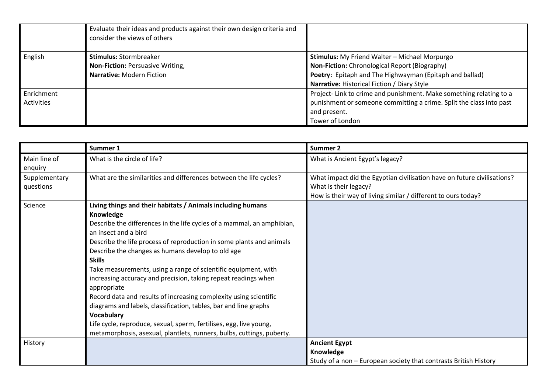|            | Evaluate their ideas and products against their own design criteria and<br>consider the views of others |                                                                     |
|------------|---------------------------------------------------------------------------------------------------------|---------------------------------------------------------------------|
| English    | <b>Stimulus: Stormbreaker</b>                                                                           | <b>Stimulus:</b> My Friend Walter - Michael Morpurgo                |
|            | <b>Non-Fiction: Persuasive Writing,</b>                                                                 | Non-Fiction: Chronological Report (Biography)                       |
|            | <b>Narrative: Modern Fiction</b>                                                                        | Poetry: Epitaph and The Highwayman (Epitaph and ballad)             |
|            |                                                                                                         | Narrative: Historical Fiction / Diary Style                         |
| Enrichment |                                                                                                         | Project-Link to crime and punishment. Make something relating to a  |
| Activities |                                                                                                         | punishment or someone committing a crime. Split the class into past |
|            |                                                                                                         | and present.                                                        |
|            |                                                                                                         | Tower of London                                                     |

|                            | Summer 1                                                                                                                                                                                                                                                                                                                                                                                                                                                                                                                                                                                                                                                                                                                                                                                 | <b>Summer 2</b>                                                                                                                                                   |
|----------------------------|------------------------------------------------------------------------------------------------------------------------------------------------------------------------------------------------------------------------------------------------------------------------------------------------------------------------------------------------------------------------------------------------------------------------------------------------------------------------------------------------------------------------------------------------------------------------------------------------------------------------------------------------------------------------------------------------------------------------------------------------------------------------------------------|-------------------------------------------------------------------------------------------------------------------------------------------------------------------|
| Main line of<br>enquiry    | What is the circle of life?                                                                                                                                                                                                                                                                                                                                                                                                                                                                                                                                                                                                                                                                                                                                                              | What is Ancient Egypt's legacy?                                                                                                                                   |
| Supplementary<br>questions | What are the similarities and differences between the life cycles?                                                                                                                                                                                                                                                                                                                                                                                                                                                                                                                                                                                                                                                                                                                       | What impact did the Egyptian civilisation have on future civilisations?<br>What is their legacy?<br>How is their way of living similar / different to ours today? |
| Science                    | Living things and their habitats / Animals including humans<br>Knowledge<br>Describe the differences in the life cycles of a mammal, an amphibian,<br>an insect and a bird<br>Describe the life process of reproduction in some plants and animals<br>Describe the changes as humans develop to old age<br><b>Skills</b><br>Take measurements, using a range of scientific equipment, with<br>increasing accuracy and precision, taking repeat readings when<br>appropriate<br>Record data and results of increasing complexity using scientific<br>diagrams and labels, classification, tables, bar and line graphs<br><b>Vocabulary</b><br>Life cycle, reproduce, sexual, sperm, fertilises, egg, live young,<br>metamorphosis, asexual, plantlets, runners, bulbs, cuttings, puberty. |                                                                                                                                                                   |
| History                    |                                                                                                                                                                                                                                                                                                                                                                                                                                                                                                                                                                                                                                                                                                                                                                                          | <b>Ancient Egypt</b><br>Knowledge<br>Study of a non - European society that contrasts British History                                                             |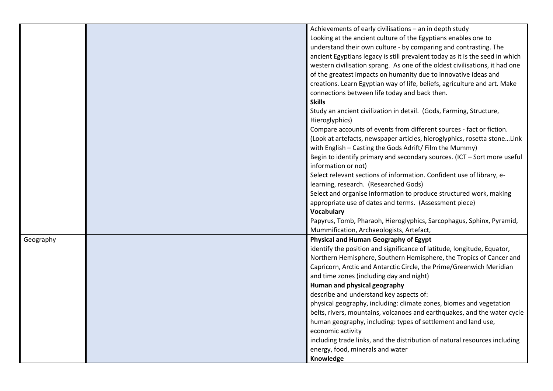|           | Achievements of early civilisations - an in depth study                      |
|-----------|------------------------------------------------------------------------------|
|           | Looking at the ancient culture of the Egyptians enables one to               |
|           | understand their own culture - by comparing and contrasting. The             |
|           | ancient Egyptians legacy is still prevalent today as it is the seed in which |
|           | western civilisation sprang. As one of the oldest civilisations, it had one  |
|           | of the greatest impacts on humanity due to innovative ideas and              |
|           | creations. Learn Egyptian way of life, beliefs, agriculture and art. Make    |
|           | connections between life today and back then.                                |
|           | <b>Skills</b>                                                                |
|           | Study an ancient civilization in detail. (Gods, Farming, Structure,          |
|           | Hieroglyphics)                                                               |
|           | Compare accounts of events from different sources - fact or fiction.         |
|           | (Look at artefacts, newspaper articles, hieroglyphics, rosetta stoneLink     |
|           | with English - Casting the Gods Adrift/ Film the Mummy)                      |
|           | Begin to identify primary and secondary sources. (ICT - Sort more useful     |
|           | information or not)                                                          |
|           | Select relevant sections of information. Confident use of library, e-        |
|           | learning, research. (Researched Gods)                                        |
|           | Select and organise information to produce structured work, making           |
|           | appropriate use of dates and terms. (Assessment piece)                       |
|           | Vocabulary                                                                   |
|           | Papyrus, Tomb, Pharaoh, Hieroglyphics, Sarcophagus, Sphinx, Pyramid,         |
|           | Mummification, Archaeologists, Artefact,                                     |
| Geography | Physical and Human Geography of Egypt                                        |
|           | identify the position and significance of latitude, longitude, Equator,      |
|           | Northern Hemisphere, Southern Hemisphere, the Tropics of Cancer and          |
|           | Capricorn, Arctic and Antarctic Circle, the Prime/Greenwich Meridian         |
|           | and time zones (including day and night)                                     |
|           | Human and physical geography                                                 |
|           | describe and understand key aspects of:                                      |
|           | physical geography, including: climate zones, biomes and vegetation          |
|           | belts, rivers, mountains, volcanoes and earthquakes, and the water cycle     |
|           | human geography, including: types of settlement and land use,                |
|           | economic activity                                                            |
|           | including trade links, and the distribution of natural resources including   |
|           | energy, food, minerals and water                                             |
|           | Knowledge                                                                    |